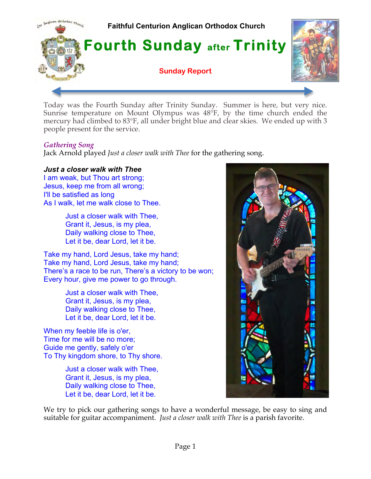

Today was the Fourth Sunday after Trinity Sunday. Summer is here, but very nice. Sunrise temperature on Mount Olympus was 48°F, by the time church ended the mercury had climbed to 83°F, all under bright blue and clear skies. We ended up with 3 people present for the service.

# *Gathering Song*

Jack Arnold played *Just a closer walk with Thee* for the gathering song.

# *Just a closer walk with Thee*

I am weak, but Thou art strong; Jesus, keep me from all wrong; I'll be satisfied as long As I walk, let me walk close to Thee.

> Just a closer walk with Thee, Grant it, Jesus, is my plea, Daily walking close to Thee, Let it be, dear Lord, let it be.

Take my hand, Lord Jesus, take my hand; Take my hand, Lord Jesus, take my hand; There's a race to be run, There's a victory to be won; Every hour, give me power to go through.

> Just a closer walk with Thee, Grant it, Jesus, is my plea, Daily walking close to Thee, Let it be, dear Lord, let it be.

When my feeble life is o'er, Time for me will be no more; Guide me gently, safely o'er To Thy kingdom shore, to Thy shore.

> Just a closer walk with Thee, Grant it, Jesus, is my plea, Daily walking close to Thee, Let it be, dear Lord, let it be.



We try to pick our gathering songs to have a wonderful message, be easy to sing and suitable for guitar accompaniment. *Just a closer walk with Thee* is a parish favorite.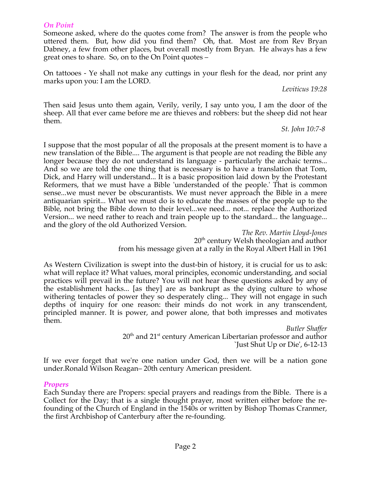#### *On Point*

Someone asked, where do the quotes come from? The answer is from the people who uttered them. But, how did you find them? Oh, that. Most are from Rev Bryan Dabney, a few from other places, but overall mostly from Bryan. He always has a few great ones to share. So, on to the On Point quotes –

On tattooes - Ye shall not make any cuttings in your flesh for the dead, nor print any marks upon you: I am the LORD.

*Leviticus 19:28*

Then said Jesus unto them again, Verily, verily, I say unto you, I am the door of the sheep. All that ever came before me are thieves and robbers: but the sheep did not hear them.

*St. John 10:7-8* 

I suppose that the most popular of all the proposals at the present moment is to have a new translation of the Bible.... The argument is that people are not reading the Bible any longer because they do not understand its language - particularly the archaic terms... And so we are told the one thing that is necessary is to have a translation that Tom, Dick, and Harry will understand... It is a basic proposition laid down by the Protestant Reformers, that we must have a Bible 'understanded of the people.' That is common sense...we must never be obscurantists. We must never approach the Bible in a mere antiquarian spirit... What we must do is to educate the masses of the people up to the Bible, not bring the Bible down to their level...we need... not... replace the Authorized Version... we need rather to reach and train people up to the standard... the language... and the glory of the old Authorized Version.

> *The Rev. Martin Lloyd-Jones* 20<sup>th</sup> century Welsh theologian and author from his message given at a rally in the Royal Albert Hall in 1961

As Western Civilization is swept into the dust-bin of history, it is crucial for us to ask: what will replace it? What values, moral principles, economic understanding, and social practices will prevail in the future? You will not hear these questions asked by any of the establishment hacks... [as they] are as bankrupt as the dying culture to whose withering tentacles of power they so desperately cling... They will not engage in such depths of inquiry for one reason: their minds do not work in any transcendent, principled manner. It is power, and power alone, that both impresses and motivates them.

*Butler Shaffer*  $20<sup>th</sup>$  and  $21<sup>st</sup>$  century American Libertarian professor and author `Just Shut Up or Die', 6-12-13

If we ever forget that we're one nation under God, then we will be a nation gone under.Ronald Wilson Reagan– 20th century American president.

## *Propers*

Each Sunday there are Propers: special prayers and readings from the Bible. There is a Collect for the Day; that is a single thought prayer, most written either before the refounding of the Church of England in the 1540s or written by Bishop Thomas Cranmer, the first Archbishop of Canterbury after the re-founding.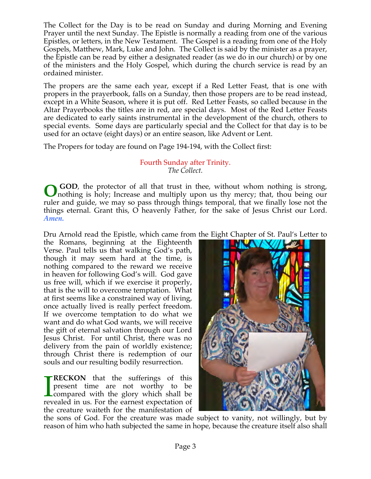The Collect for the Day is to be read on Sunday and during Morning and Evening Prayer until the next Sunday. The Epistle is normally a reading from one of the various Epistles, or letters, in the New Testament. The Gospel is a reading from one of the Holy Gospels, Matthew, Mark, Luke and John. The Collect is said by the minister as a prayer, the Epistle can be read by either a designated reader (as we do in our church) or by one of the ministers and the Holy Gospel, which during the church service is read by an ordained minister.

The propers are the same each year, except if a Red Letter Feast, that is one with propers in the prayerbook, falls on a Sunday, then those propers are to be read instead, except in a White Season, where it is put off. Red Letter Feasts, so called because in the Altar Prayerbooks the titles are in red, are special days. Most of the Red Letter Feasts are dedicated to early saints instrumental in the development of the church, others to special events. Some days are particularly special and the Collect for that day is to be used for an octave (eight days) or an entire season, like Advent or Lent.

The Propers for today are found on Page 194-194, with the Collect first:

# Fourth Sunday after Trinity. *The Collect.*

 **GOD**, the protector of all that trust in thee, without whom nothing is strong, nothing is holy; Increase and multiply upon us thy mercy; that, thou being our ruler and guide, we may so pass through things temporal, that we finally lose not the things eternal. Grant this, O heavenly Father, for the sake of Jesus Christ our Lord. *Amen.* **O**

Dru Arnold read the Epistle, which came from the Eight Chapter of St. Paul's Letter to

the Romans, beginning at the Eighteenth Verse. Paul tells us that walking God's path, though it may seem hard at the time, is nothing compared to the reward we receive in heaven for following God's will. God gave us free will, which if we exercise it properly, that is the will to overcome temptation. What at first seems like a constrained way of living, once actually lived is really perfect freedom. If we overcome temptation to do what we want and do what God wants, we will receive the gift of eternal salvation through our Lord Jesus Christ. For until Christ, there was no delivery from the pain of worldly existence; through Christ there is redemption of our souls and our resulting bodily resurrection.

**RECKON** that the sufferings of this present time are not worthy to be compared with the glory which shall be revealed in us. For the earnest expectation of the creature waiteth for the manifestation of  $\prod_{rev}$ 



the sons of God. For the creature was made subject to vanity, not willingly, but by reason of him who hath subjected the same in hope, because the creature itself also shall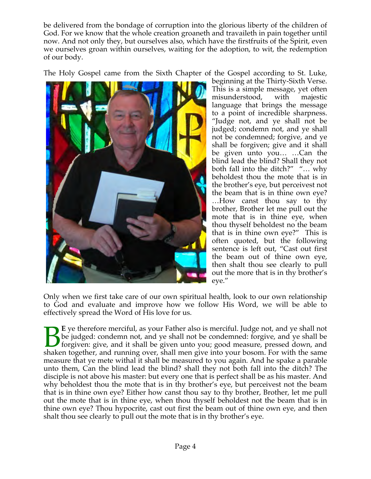be delivered from the bondage of corruption into the glorious liberty of the children of God. For we know that the whole creation groaneth and travaileth in pain together until now. And not only they, but ourselves also, which have the firstfruits of the Spirit, even we ourselves groan within ourselves, waiting for the adoption, to wit, the redemption of our body.

The Holy Gospel came from the Sixth Chapter of the Gospel according to St. Luke,



beginning at the Thirty-Sixth Verse. This is a simple message, yet often misunderstood, with majestic language that brings the message to a point of incredible sharpness. "Judge not, and ye shall not be judged; condemn not, and ye shall not be condemned; forgive, and ye shall be forgiven; give and it shall be given unto you… …Can the blind lead the blind? Shall they not both fall into the ditch?" "… why beholdest thou the mote that is in the brother's eye, but perceivest not the beam that is in thine own eye? …How canst thou say to thy brother, Brother let me pull out the mote that is in thine eye, when thou thyself beholdest no the beam that is in thine own eye?" This is often quoted, but the following sentence is left out, "Cast out first the beam out of thine own eye, then shalt thou see clearly to pull out the more that is in thy brother's eye."

Only when we first take care of our own spiritual health, look to our own relationship to God and evaluate and improve how we follow His Word, we will be able to effectively spread the Word of His love for us.

**E** ye therefore merciful, as your Father also is merciful. Judge not, and ye shall not be judged: condemn not, and ye shall not be condemned: forgive, and ye shall be forgiven: give, and it shall be given unto you; good measure, pressed down, and E ye therefore merciful, as your Father also is merciful. Judge not, and ye shall not be judged: condemn not, and ye shall not be condemned: forgive, and ye shall be forgiven: give, and it shall be given unto you; good mea measure that ye mete withal it shall be measured to you again. And he spake a parable unto them, Can the blind lead the blind? shall they not both fall into the ditch? The disciple is not above his master: but every one that is perfect shall be as his master. And why beholdest thou the mote that is in thy brother's eye, but perceivest not the beam that is in thine own eye? Either how canst thou say to thy brother, Brother, let me pull out the mote that is in thine eye, when thou thyself beholdest not the beam that is in thine own eye? Thou hypocrite, cast out first the beam out of thine own eye, and then shalt thou see clearly to pull out the mote that is in thy brother's eye.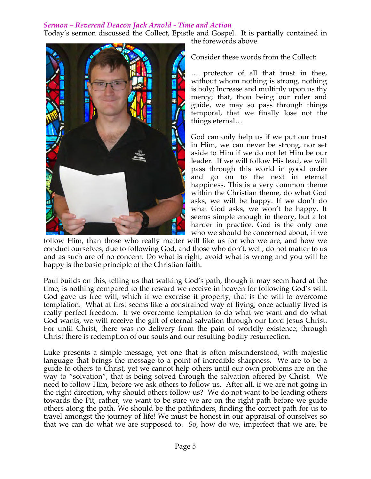# *Sermon – Reverend Deacon Jack Arnold - Time and Action*

Today's sermon discussed the Collect, Epistle and Gospel. It is partially contained in the forewords above.



Consider these words from the Collect:

… protector of all that trust in thee, without whom nothing is strong, nothing is holy; Increase and multiply upon us thy mercy; that, thou being our ruler and guide, we may so pass through things temporal, that we finally lose not the things eternal…

God can only help us if we put our trust in Him, we can never be strong, nor set aside to Him if we do not let Him be our leader. If we will follow His lead, we will pass through this world in good order and go on to the next in eternal happiness. This is a very common theme within the Christian theme, do what God asks, we will be happy. If we don't do what God asks, we won't be happy. It seems simple enough in theory, but a lot harder in practice. God is the only one who we should be concerned about, if we

follow Him, than those who really matter will like us for who we are, and how we conduct ourselves, due to following God, and those who don't, well, do not matter to us and as such are of no concern. Do what is right, avoid what is wrong and you will be happy is the basic principle of the Christian faith.

Paul builds on this, telling us that walking God's path, though it may seem hard at the time, is nothing compared to the reward we receive in heaven for following God's will. God gave us free will, which if we exercise it properly, that is the will to overcome temptation. What at first seems like a constrained way of living, once actually lived is really perfect freedom. If we overcome temptation to do what we want and do what God wants, we will receive the gift of eternal salvation through our Lord Jesus Christ. For until Christ, there was no delivery from the pain of worldly existence; through Christ there is redemption of our souls and our resulting bodily resurrection.

Luke presents a simple message, yet one that is often misunderstood, with majestic language that brings the message to a point of incredible sharpness. We are to be a guide to others to Christ, yet we cannot help others until our own problems are on the way to "solvation", that is being solved through the salvation offered by Christ. We need to follow Him, before we ask others to follow us. After all, if we are not going in the right direction, why should others follow us? We do not want to be leading others towards the Pit, rather, we want to be sure we are on the right path before we guide others along the path. We should be the pathfinders, finding the correct path for us to travel amongst the journey of life! We must be honest in our appraisal of ourselves so that we can do what we are supposed to. So, how do we, imperfect that we are, be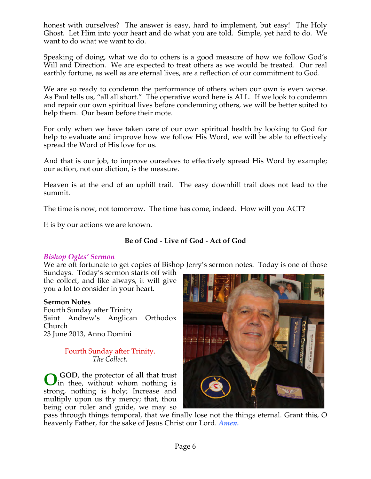honest with ourselves? The answer is easy, hard to implement, but easy! The Holy Ghost. Let Him into your heart and do what you are told. Simple, yet hard to do. We want to do what we want to do.

Speaking of doing, what we do to others is a good measure of how we follow God's Will and Direction. We are expected to treat others as we would be treated. Our real earthly fortune, as well as are eternal lives, are a reflection of our commitment to God.

We are so ready to condemn the performance of others when our own is even worse. As Paul tells us, "all all short." The operative word here is ALL. If we look to condemn and repair our own spiritual lives before condemning others, we will be better suited to help them. Our beam before their mote.

For only when we have taken care of our own spiritual health by looking to God for help to evaluate and improve how we follow His Word, we will be able to effectively spread the Word of His love for us.

And that is our job, to improve ourselves to effectively spread His Word by example; our action, not our diction, is the measure.

Heaven is at the end of an uphill trail. The easy downhill trail does not lead to the summit.

The time is now, not tomorrow. The time has come, indeed. How will you ACT?

It is by our actions we are known.

# **Be of God - Live of God - Act of God**

## *Bishop Ogles' Sermon*

We are oft fortunate to get copies of Bishop Jerry's sermon notes. Today is one of those

Sundays. Today's sermon starts off with the collect, and like always, it will give you a lot to consider in your heart.

## **Sermon Notes**

Fourth Sunday after Trinity Saint Andrew's Anglican Orthodox Church 23 June 2013, Anno Domini

## Fourth Sunday after Trinity. *The Collect.*

 **GOD**, the protector of all that trust **O** GOD, the protector of all that trust<br>in thee, without whom nothing is strong, nothing is holy; Increase and multiply upon us thy mercy; that, thou being our ruler and guide, we may so



pass through things temporal, that we finally lose not the things eternal. Grant this, O heavenly Father, for the sake of Jesus Christ our Lord. *Amen.*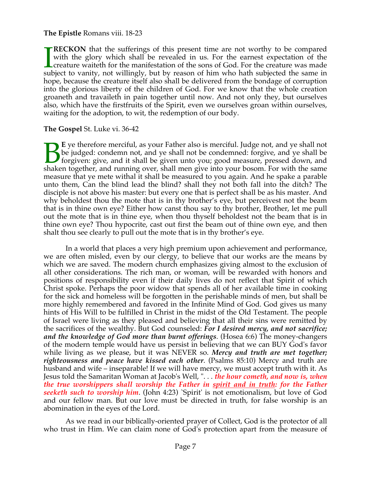# **The Epistle** Romans viii. 18-23

**RECKON** that the sufferings of this present time are not worthy to be compared with the glory which shall be revealed in us. For the earnest expectation of the creature waiteth for the manifestation of the sons of God. For the creature was made subject to vanity, not willingly, but by reason of him who hath subjected the same in hope, because the creature itself also shall be delivered from the bondage of corruption into the glorious liberty of the children of God. For we know that the whole creation groaneth and travaileth in pain together until now. And not only they, but ourselves also, which have the firstfruits of the Spirit, even we ourselves groan within ourselves, waiting for the adoption, to wit, the redemption of our body.  $\prod_{{\rm sub}}$ 

## **The Gospel** St. Luke vi. 36-42

**E** ye therefore merciful, as your Father also is merciful. Judge not, and ye shall not be judged: condemn not, and ye shall not be condemned: forgive, and ye shall be forgiven: give, and it shall be given unto you; good measure, pressed down, and E ye therefore merciful, as your Father also is merciful. Judge not, and ye shall not be judged: condemn not, and ye shall not be condemned: forgive, and ye shall be forgiven: give, and it shall be given unto you; good mea measure that ye mete withal it shall be measured to you again. And he spake a parable unto them, Can the blind lead the blind? shall they not both fall into the ditch? The disciple is not above his master: but every one that is perfect shall be as his master. And why beholdest thou the mote that is in thy brother's eye, but perceivest not the beam that is in thine own eye? Either how canst thou say to thy brother, Brother, let me pull out the mote that is in thine eye, when thou thyself beholdest not the beam that is in thine own eye? Thou hypocrite, cast out first the beam out of thine own eye, and then shalt thou see clearly to pull out the mote that is in thy brother's eye.

 In a world that places a very high premium upon achievement and performance, we are often misled, even by our clergy, to believe that our works are the means by which we are saved. The modern church emphasizes giving almost to the exclusion of all other considerations. The rich man, or woman, will be rewarded with honors and positions of responsibility even if their daily lives do not reflect that Spirit of which Christ spoke. Perhaps the poor widow that spends all of her available time in cooking for the sick and homeless will be forgotten in the perishable minds of men, but shall be more highly remembered and favored in the Infinite Mind of God. God gives us many hints of His Will to be fulfilled in Christ in the midst of the Old Testament. The people of Israel were living as they pleased and believing that all their sins were remitted by the sacrifices of the wealthy. But God counseled: *For I desired mercy, and not sacrifice; and the knowledge of God more than burnt offerings*. (Hosea 6:6) The money-changers of the modern temple would have us persist in believing that we can BUY God's favor while living as we please, but it was NEVER so. *Mercy and truth are met together; righteousness and peace have kissed each other*. (Psalms 85:10) Mercy and truth are husband and wife – inseparable! If we will have mercy, we must accept truth with it. As Jesus told the Samaritan Woman at Jacob's Well, ". . . *the hour cometh, and now is, when the true worshippers shall worship the Father in spirit and in truth: for the Father seeketh such to worship him*. (John 4:23) `Spirit' is not emotionalism, but love of God and our fellow man. But our love must be directed in truth, for false worship is an abomination in the eyes of the Lord.

 As we read in our biblically-oriented prayer of Collect, God is the protector of all who trust in Him. We can claim none of God's protection apart from the measure of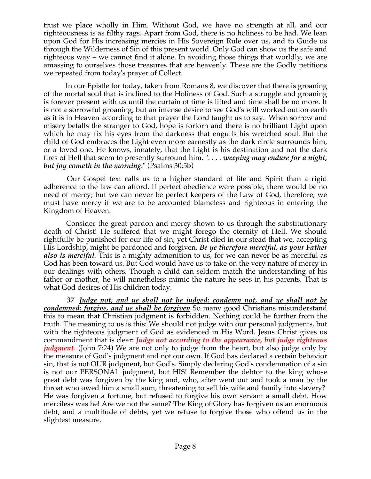trust we place wholly in Him. Without God, we have no strength at all, and our righteousness is as filthy rags. Apart from God, there is no holiness to be had. We lean upon God for His increasing mercies in His Sovereign Rule over us, and to Guide us through the Wilderness of Sin of this present world. Only God can show us the safe and righteous way – we cannot find it alone. In avoiding those things that worldly, we are amassing to ourselves those treasures that are heavenly. These are the Godly petitions we repeated from today's prayer of Collect.

 In our Epistle for today, taken from Romans 8, we discover that there is groaning of the mortal soul that is inclined to the Holiness of God. Such a struggle and groaning is forever present with us until the curtain of time is lifted and time shall be no more. It is not a sorrowful groaning, but an intense desire to see God's will worked out on earth as it is in Heaven according to that prayer the Lord taught us to say. When sorrow and misery befalls the stranger to God, hope is forlorn and there is no brilliant Light upon which he may fix his eyes from the darkness that engulfs his wretched soul. But the child of God embraces the Light even more earnestly as the dark circle surrounds him, or a loved one. He knows, innately, that the Light is his destination and not the dark fires of Hell that seem to presently surround him. ". . . . *weeping may endure for a night, but joy cometh in the morning*." (Psalms 30:5b)

 Our Gospel text calls us to a higher standard of life and Spirit than a rigid adherence to the law can afford. If perfect obedience were possible, there would be no need of mercy; but we can never be perfect keepers of the Law of God, therefore, we must have mercy if we are to be accounted blameless and righteous in entering the Kingdom of Heaven.

 Consider the great pardon and mercy shown to us through the substitutionary death of Christ! He suffered that we might forego the eternity of Hell. We should rightfully be punished for our life of sin, yet Christ died in our stead that we, accepting His Lordship, might be pardoned and forgiven. *Be ye therefore merciful, as your Father also is merciful.* This is a mighty admonition to us, for we can never be as merciful as God has been toward us. But God would have us to take on the very nature of mercy in our dealings with others. Though a child can seldom match the understanding of his father or mother, he will nonetheless mimic the nature he sees in his parents. That is what God desires of His children today.

 *37 Judge not, and ye shall not be judged: condemn not, and ye shall not be condemned: forgive, and ye shall be forgiven* So many good Christians misunderstand this to mean that Christian judgment is forbidden. Nothing could be further from the truth. The meaning to us is this: We should not judge with our personal judgments, but with the righteous judgment of God as evidenced in His Word. Jesus Christ gives us commandment that is clear: *Judge not according to the appearance, but judge righteous judgment*. (John 7:24) We are not only to judge from the heart, but also judge only by the measure of God's judgment and not our own. If God has declared a certain behavior sin, that is not OUR judgment, but God's. Simply declaring God's condemnation of a sin is not our PERSONAL judgment, but HIS! Remember the debtor to the king whose great debt was forgiven by the king and, who, after went out and took a man by the throat who owed him a small sum, threatening to sell his wife and family into slavery? He was forgiven a fortune, but refused to forgive his own servant a small debt. How merciless was he! Are we not the same? The King of Glory has forgiven us an enormous debt, and a multitude of debts, yet we refuse to forgive those who offend us in the slightest measure.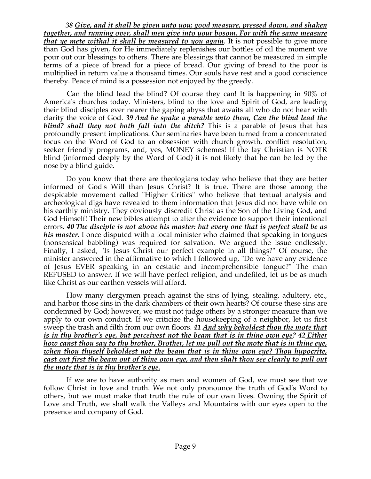*38 Give, and it shall be given unto you; good measure, pressed down, and shaken together, and running over, shall men give into your bosom. For with the same measure that ye mete withal it shall be measured to you again.* It is not possible to give more than God has given, for He immediately replenishes our bottles of oil the moment we pour out our blessings to others. There are blessings that cannot be measured in simple terms of a piece of bread for a piece of bread. Our giving of bread to the poor is multiplied in return value a thousand times. Our souls have rest and a good conscience thereby. Peace of mind is a possession not enjoyed by the greedy.

 Can the blind lead the blind? Of course they can! It is happening in 90% of America's churches today. Ministers, blind to the love and Spirit of God, are leading their blind disciples ever nearer the gaping abyss that awaits all who do not hear with clarity the voice of God. *39 And he spake a parable unto them, Can the blind lead the blind? shall they not both fall into the ditch?* This is a parable of Jesus that has profoundly present implications. Our seminaries have been turned from a concentrated focus on the Word of God to an obsession with church growth, conflict resolution, seeker friendly programs, and, yes, MONEY schemes! If the lay Christian is NOTR blind (informed deeply by the Word of God) it is not likely that he can be led by the nose by a blind guide.

 Do you know that there are theologians today who believe that they are better informed of God's Will than Jesus Christ? It is true. There are those among the despicable movement called "Higher Critics" who believe that textual analysis and archeological digs have revealed to them information that Jesus did not have while on his earthly ministry. They obviously discredit Christ as the Son of the Living God, and God Himself! Their new bibles attempt to alter the evidence to support their intentional errors. *40 The disciple is not above his master: but every one that is perfect shall be as his master.* I once disputed with a local minister who claimed that speaking in tongues (nonsensical babbling) was required for salvation. We argued the issue endlessly. Finally, I asked, "Is Jesus Christ our perfect example in all things?" Of course, the minister answered in the affirmative to which I followed up, "Do we have any evidence of Jesus EVER speaking in an ecstatic and incomprehensible tongue?" The man REFUSED to answer. If we will have perfect religion, and undefiled, let us be as much like Christ as our earthen vessels will afford.

 How many clergymen preach against the sins of lying, stealing, adultery, etc., and harbor those sins in the dark chambers of their own hearts? Of course these sins are condemned by God; however, we must not judge others by a stronger measure than we apply to our own conduct. If we criticize the housekeeping of a neighbor, let us first sweep the trash and filth from our own floors. *41 And why beholdest thou the mote that is in thy brother's eye, but perceivest not the beam that is in thine own eye? 42 Either how canst thou say to thy brother, Brother, let me pull out the mote that is in thine eye, when thou thyself beholdest not the beam that is in thine own eye? Thou hypocrite, cast out first the beam out of thine own eye, and then shalt thou see clearly to pull out the mote that is in thy brother's eye*.

 If we are to have authority as men and women of God, we must see that we follow Christ in love and truth. We not only pronounce the truth of God's Word to others, but we must make that truth the rule of our own lives. Owning the Spirit of Love and Truth, we shall walk the Valleys and Mountains with our eyes open to the presence and company of God.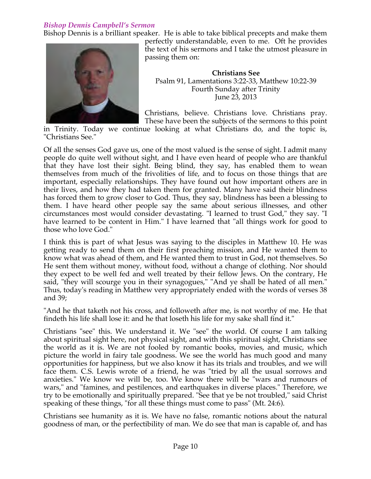# *Bishop Dennis Campbell's Sermon*

Bishop Dennis is a brilliant speaker. He is able to take biblical precepts and make them



perfectly understandable, even to me. Oft he provides the text of his sermons and I take the utmost pleasure in passing them on:

**Christians See** Psalm 91, Lamentations 3:22-33, Matthew 10:22-39 Fourth Sunday after Trinity June 23, 2013

Christians, believe. Christians love. Christians pray. These have been the subjects of the sermons to this point

in Trinity. Today we continue looking at what Christians do, and the topic is, "Christians See."

Of all the senses God gave us, one of the most valued is the sense of sight. I admit many people do quite well without sight, and I have even heard of people who are thankful that they have lost their sight. Being blind, they say, has enabled them to wean themselves from much of the frivolities of life, and to focus on those things that are important, especially relationships. They have found out how important others are in their lives, and how they had taken them for granted. Many have said their blindness has forced them to grow closer to God. Thus, they say, blindness has been a blessing to them. I have heard other people say the same about serious illnesses, and other circumstances most would consider devastating. "I learned to trust God," they say. "I have learned to be content in Him." I have learned that "all things work for good to those who love God."

I think this is part of what Jesus was saying to the disciples in Matthew 10. He was getting ready to send them on their first preaching mission, and He wanted them to know what was ahead of them, and He wanted them to trust in God, not themselves. So He sent them without money, without food, without a change of clothing. Nor should they expect to be well fed and well treated by their fellow Jews. On the contrary, He said, "they will scourge you in their synagogues," "And ye shall be hated of all men." Thus, today's reading in Matthew very appropriately ended with the words of verses 38 and 39;

"And he that taketh not his cross, and followeth after me, is not worthy of me. He that findeth his life shall lose it: and he that loseth his life for my sake shall find it."

Christians "see" this. We understand it. We "see" the world. Of course I am talking about spiritual sight here, not physical sight, and with this spiritual sight, Christians see the world as it is. We are not fooled by romantic books, movies, and music, which picture the world in fairy tale goodness. We see the world has much good and many opportunities for happiness, but we also know it has its trials and troubles, and we will face them. C.S. Lewis wrote of a friend, he was "tried by all the usual sorrows and anxieties." We know we will be, too. We know there will be "wars and rumours of wars," and "famines, and pestilences, and earthquakes in diverse places." Therefore, we try to be emotionally and spiritually prepared. "See that ye be not troubled," said Christ speaking of these things, "for all these things must come to pass" (Mt. 24:6).

Christians see humanity as it is. We have no false, romantic notions about the natural goodness of man, or the perfectibility of man. We do see that man is capable of, and has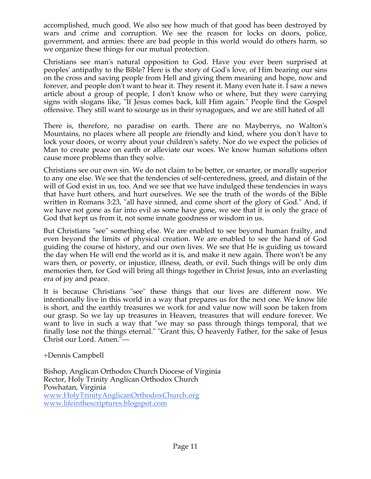accomplished, much good. We also see how much of that good has been destroyed by wars and crime and corruption. We see the reason for locks on doors, police, government, and armies: there are bad people in this world would do others harm, so we organize these things for our mutual protection.

Christians see man's natural opposition to God. Have you ever been surprised at peoples' antipathy to the Bible? Here is the story of God's love, of Him bearing our sins on the cross and saving people from Hell and giving them meaning and hope, now and forever, and people don't want to hear it. They resent it. Many even hate it. I saw a news article about a group of people, I don't know who or where, but they were carrying signs with slogans like, "If Jesus comes back, kill Him again." People find the Gospel offensive. They still want to scourge us in their synagogues, and we are still hated of all

There is, therefore, no paradise on earth. There are no Mayberrys, no Walton's Mountains, no places where all people are friendly and kind, where you don't have to lock your doors, or worry about your children's safety. Nor do we expect the policies of Man to create peace on earth or alleviate our woes. We know human solutions often cause more problems than they solve.

Christians see our own sin. We do not claim to be better, or smarter, or morally superior to any one else. We see that the tendencies of self-centeredness, greed, and distain of the will of God exist in us, too. And we see that we have indulged these tendencies in ways that have hurt others, and hurt ourselves. We see the truth of the words of the Bible written in Romans 3:23, "all have sinned, and come short of the glory of God." And, if we have not gone as far into evil as some have gone, we see that it is only the grace of God that kept us from it, not some innate goodness or wisdom in us.

But Christians "see" something else. We are enabled to see beyond human frailty, and even beyond the limits of physical creation. We are enabled to see the hand of God guiding the course of history, and our own lives. We see that He is guiding us toward the day when He will end the world as it is, and make it new again. There won't be any wars then, or poverty, or injustice, illness, death, or evil. Such things will be only dim memories then, for God will bring all things together in Christ Jesus, into an everlasting era of joy and peace.

It is because Christians "see" these things that our lives are different now. We intentionally live in this world in a way that prepares us for the next one. We know life is short, and the earthly treasures we work for and value now will soon be taken from our grasp. So we lay up treasures in Heaven, treasures that will endure forever. We want to live in such a way that "we may so pass through things temporal, that we finally lose not the things eternal." "Grant this, O heavenly Father, for the sake of Jesus Christ our Lord. Amen."—

+Dennis Campbell

Bishop, Anglican Orthodox Church Diocese of Virginia Rector, Holy Trinity Anglican Orthodox Church Powhatan, Virginia www.HolyTrinityAnglicanOrthodoxChurch.org www.lifeinthescriptures.blogspot.com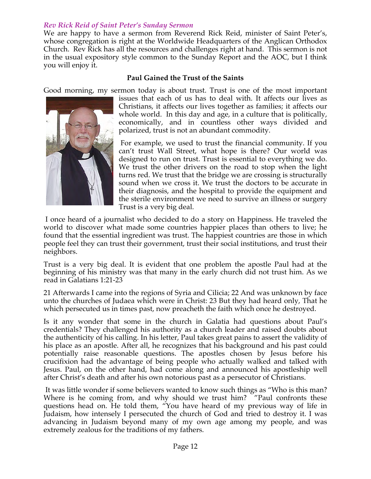# *Rev Rick Reid of Saint Peter's Sunday Sermon*

We are happy to have a sermon from Reverend Rick Reid, minister of Saint Peter's, whose congregation is right at the Worldwide Headquarters of the Anglican Orthodox Church. Rev Rick has all the resources and challenges right at hand. This sermon is not in the usual expository style common to the Sunday Report and the AOC, but I think you will enjoy it.

# **Paul Gained the Trust of the Saints**

Good morning, my sermon today is about trust. Trust is one of the most important



issues that each of us has to deal with. It affects our lives as Christians, it affects our lives together as families; it affects our whole world. In this day and age, in a culture that is politically, economically, and in countless other ways divided and polarized, trust is not an abundant commodity.

 For example, we used to trust the financial community. If you can't trust Wall Street, what hope is there? Our world was designed to run on trust. Trust is essential to everything we do. We trust the other drivers on the road to stop when the light turns red. We trust that the bridge we are crossing is structurally sound when we cross it. We trust the doctors to be accurate in their diagnosis, and the hospital to provide the equipment and the sterile environment we need to survive an illness or surgery Trust is a very big deal.

 I once heard of a journalist who decided to do a story on Happiness. He traveled the world to discover what made some countries happier places than others to live; he found that the essential ingredient was trust. The happiest countries are those in which people feel they can trust their government, trust their social institutions, and trust their neighbors.

Trust is a very big deal. It is evident that one problem the apostle Paul had at the beginning of his ministry was that many in the early church did not trust him. As we read in Galatians 1:21-23

21 Afterwards I came into the regions of Syria and Cilicia; 22 And was unknown by face unto the churches of Judaea which were in Christ: 23 But they had heard only, That he which persecuted us in times past, now preacheth the faith which once he destroyed.

Is it any wonder that some in the church in Galatia had questions about Paul's credentials? They challenged his authority as a church leader and raised doubts about the authenticity of his calling. In his letter, Paul takes great pains to assert the validity of his place as an apostle. After all, he recognizes that his background and his past could potentially raise reasonable questions. The apostles chosen by Jesus before his crucifixion had the advantage of being people who actually walked and talked with Jesus. Paul, on the other hand, had come along and announced his apostleship well after Christ's death and after his own notorious past as a persecutor of Christians.

 It was little wonder if some believers wanted to know such things as "Who is this man? Where is he coming from, and why should we trust him? "Paul confronts these questions head on. He told them, "You have heard of my previous way of life in Judaism, how intensely I persecuted the church of God and tried to destroy it. I was advancing in Judaism beyond many of my own age among my people, and was extremely zealous for the traditions of my fathers.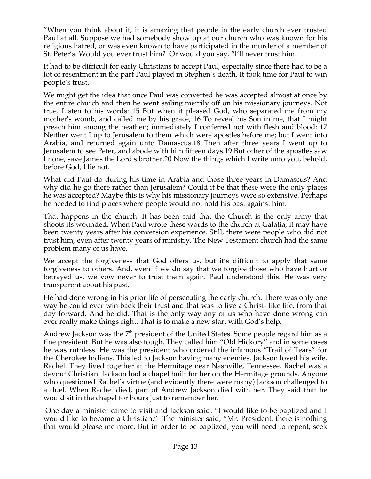"When you think about it, it is amazing that people in the early church ever trusted Paul at all. Suppose we had somebody show up at our church who was known for his religious hatred, or was even known to have participated in the murder of a member of St. Peter's. Would you ever trust him? Or would you say, "I'll never trust him.

It had to be difficult for early Christians to accept Paul, especially since there had to be a lot of resentment in the part Paul played in Stephen's death. It took time for Paul to win people's trust.

We might get the idea that once Paul was converted he was accepted almost at once by the entire church and then he went sailing merrily off on his missionary journeys. Not true. Listen to his words: 15 But when it pleased God, who separated me from my mother's womb, and called me by his grace, 16 To reveal his Son in me, that I might preach him among the heathen; immediately I conferred not with flesh and blood: 17 Neither went I up to Jerusalem to them which were apostles before me; but I went into Arabia, and returned again unto Damascus.18 Then after three years I went up to Jerusalem to see Peter, and abode with him fifteen days.19 But other of the apostles saw I none, save James the Lord's brother.20 Now the things which I write unto you, behold, before God, I lie not.

What did Paul do during his time in Arabia and those three years in Damascus? And why did he go there rather than Jerusalem? Could it be that these were the only places he was accepted? Maybe this is why his missionary journeys were so extensive. Perhaps he needed to find places where people would not hold his past against him.

That happens in the church. It has been said that the Church is the only army that shoots its wounded. When Paul wrote these words to the church at Galatia, it may have been twenty years after his conversion experience. Still, there were people who did not trust him, even after twenty years of ministry. The New Testament church had the same problem many of us have.

We accept the forgiveness that God offers us, but it's difficult to apply that same forgiveness to others. And, even if we do say that we forgive those who have hurt or betrayed us, we vow never to trust them again. Paul understood this. He was very transparent about his past.

He had done wrong in his prior life of persecuting the early church. There was only one way he could ever win back their trust and that was to live a Christ- like life, from that day forward. And he did. That is the only way any of us who have done wrong can ever really make things right. That is to make a new start with God's help.

Andrew Jackson was the  $7<sup>th</sup>$  president of the United States. Some people regard him as a fine president. But he was also tough. They called him "Old Hickory" and in some cases he was ruthless. He was the president who ordered the infamous "Trail of Tears" for the Cherokee Indians. This led to Jackson having many enemies. Jackson loved his wife, Rachel. They lived together at the Hermitage near Nashville, Tennessee. Rachel was a devout Christian. Jackson had a chapel built for her on the Hermitage grounds. Anyone who questioned Rachel's virtue (and evidently there were many) Jackson challenged to a duel. When Rachel died, part of Andrew Jackson died with her. They said that he would sit in the chapel for hours just to remember her.

 One day a minister came to visit and Jackson said: "I would like to be baptized and I would like to become a Christian." The minister said, "Mr. President, there is nothing that would please me more. But in order to be baptized, you will need to repent, seek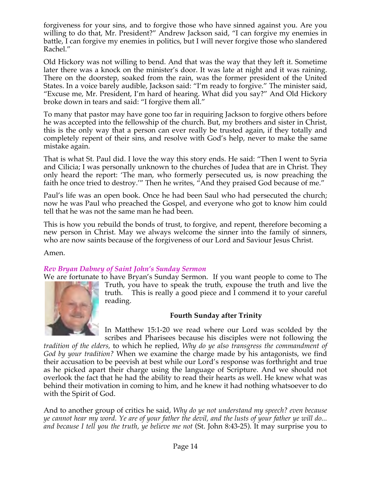forgiveness for your sins, and to forgive those who have sinned against you. Are you willing to do that, Mr. President?" Andrew Jackson said, "I can forgive my enemies in battle, I can forgive my enemies in politics, but I will never forgive those who slandered Rachel."

Old Hickory was not willing to bend. And that was the way that they left it. Sometime later there was a knock on the minister's door. It was late at night and it was raining. There on the doorstep, soaked from the rain, was the former president of the United States. In a voice barely audible, Jackson said: "I'm ready to forgive." The minister said, "Excuse me, Mr. President, I'm hard of hearing. What did you say?" And Old Hickory broke down in tears and said: "I forgive them all."

To many that pastor may have gone too far in requiring Jackson to forgive others before he was accepted into the fellowship of the church. But, my brothers and sister in Christ, this is the only way that a person can ever really be trusted again, if they totally and completely repent of their sins, and resolve with God's help, never to make the same mistake again.

That is what St. Paul did. I love the way this story ends. He said: "Then I went to Syria and Cilicia; I was personally unknown to the churches of Judea that are in Christ. They only heard the report: 'The man, who formerly persecuted us, is now preaching the faith he once tried to destroy.'" Then he writes, "And they praised God because of me."

Paul's life was an open book. Once he had been Saul who had persecuted the church; now he was Paul who preached the Gospel, and everyone who got to know him could tell that he was not the same man he had been.

This is how you rebuild the bonds of trust, to forgive, and repent, therefore becoming a new person in Christ. May we always welcome the sinner into the family of sinners, who are now saints because of the forgiveness of our Lord and Saviour Jesus Christ.

Amen.

# *Rev Bryan Dabney of Saint John's Sunday Sermon*

We are fortunate to have Bryan's Sunday Sermon. If you want people to come to The



Truth, you have to speak the truth, expouse the truth and live the truth. This is really a good piece and I commend it to your careful reading.

# **Fourth Sunday after Trinity**

In Matthew 15:1-20 we read where our Lord was scolded by the scribes and Pharisees because his disciples were not following the

*tradition of the elders,* to which he replied, *Why do ye also transgress the commandment of God by your tradition?* When we examine the charge made by his antagonists, we find their accusation to be peevish at best while our Lord's response was forthright and true as he picked apart their charge using the language of Scripture. And we should not overlook the fact that he had the ability to read their hearts as well. He knew what was behind their motivation in coming to him, and he knew it had nothing whatsoever to do with the Spirit of God.

And to another group of critics he said, *Why do ye not understand my speech? even because ye cannot hear my word. Ye are of your father the devil, and the lusts of your father ye will do... and because I tell you the truth, ye believe me not* (St. John 8:43-25). It may surprise you to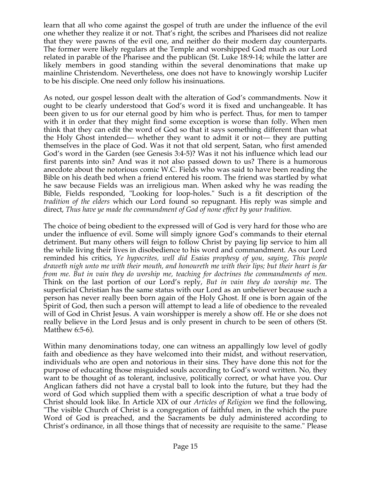learn that all who come against the gospel of truth are under the influence of the evil one whether they realize it or not. That's right, the scribes and Pharisees did not realize that they were pawns of the evil one, and neither do their modern day counterparts. The former were likely regulars at the Temple and worshipped God much as our Lord related in parable of the Pharisee and the publican (St. Luke 18:9-14; while the latter are likely members in good standing within the several denominations that make up mainline Christendom. Nevertheless, one does not have to knowingly worship Lucifer to be his disciple. One need only follow his insinuations.

As noted, our gospel lesson dealt with the alteration of God's commandments. Now it ought to be clearly understood that God's word it is fixed and unchangeable. It has been given to us for our eternal good by him who is perfect. Thus, for men to tamper with it in order that they might find some exception is worse than folly. When men think that they can edit the word of God so that it says something different than what the Holy Ghost intended— whether they want to admit it or not— they are putting themselves in the place of God. Was it not that old serpent, Satan, who first amended God's word in the Garden (see Genesis 3:4-5)? Was it not his influence which lead our first parents into sin? And was it not also passed down to us? There is a humorous anecdote about the notorious comic W.C. Fields who was said to have been reading the Bible on his death bed when a friend entered his room. The friend was startled by what he saw because Fields was an irreligious man. When asked why he was reading the Bible, Fields responded, "Looking for loop-holes." Such is a fit description of the *tradition of the elders* which our Lord found so repugnant. His reply was simple and direct, *Thus have ye made the commandment of God of none effect by your tradition.*

The choice of being obedient to the expressed will of God is very hard for those who are under the influence of evil. Some will simply ignore God's commands to their eternal detriment. But many others will feign to follow Christ by paying lip service to him all the while living their lives in disobedience to his word and commandment. As our Lord reminded his critics, *Ye hypocrites, well did Esaias prophesy of you, saying, This people draweth nigh unto me with their mouth, and honoureth me with their lips; but their heart is far from me. But in vain they do worship me, teaching for doctrines the commandments of men.* Think on the last portion of our Lord's reply, *But in vain they do worship me*. The superficial Christian has the same status with our Lord as an unbeliever because such a person has never really been born again of the Holy Ghost. If one is born again of the Spirit of God, then such a person will attempt to lead a life of obedience to the revealed will of God in Christ Jesus. A vain worshipper is merely a show off. He or she does not really believe in the Lord Jesus and is only present in church to be seen of others (St. Matthew 6:5-6).

Within many denominations today, one can witness an appallingly low level of godly faith and obedience as they have welcomed into their midst, and without reservation, individuals who are open and notorious in their sins. They have done this not for the purpose of educating those misguided souls according to God's word written. No, they want to be thought of as tolerant, inclusive, politically correct, or what have you. Our Anglican fathers did not have a crystal ball to look into the future, but they had the word of God which supplied them with a specific description of what a true body of Christ should look like. In Article XIX of our *Articles of Religion* we find the following, "The visible Church of Christ is a congregation of faithful men, in the which the pure Word of God is preached, and the Sacraments be duly administered according to Christ's ordinance, in all those things that of necessity are requisite to the same." Please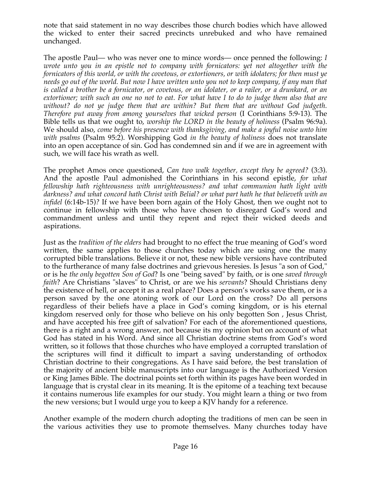note that said statement in no way describes those church bodies which have allowed the wicked to enter their sacred precincts unrebuked and who have remained unchanged.

The apostle Paul— who was never one to mince words— once penned the following: *I wrote unto you in an epistle not to company with fornicators: yet not altogether with the fornicators of this world, or with the covetous, or extortioners, or with idolaters; for then must ye needs go out of the world. But now I have written unto you not to keep company, if any man that is called a brother be a fornicator, or covetous, or an idolater, or a railer, or a drunkard, or an extortioner; with such an one no not to eat. For what have I to do to judge them also that are without? do not ye judge them that are within? But them that are without God judgeth. Therefore put away from among yourselves that wicked person* (I Corinthians 5:9-13). The Bible tells us that we ought to, *worship the LORD in the beauty of holiness* (Psalm 96:9a). We should also, *come before his presence with thanksgiving, and make a joyful noise unto him with psalms* (Psalm 95:2). Worshipping God *in the beauty of holiness* does not translate into an open acceptance of sin. God has condemned sin and if we are in agreement with such, we will face his wrath as well.

The prophet Amos once questioned, *Can two walk together, except they be agreed?* (3:3). And the apostle Paul admonished the Corinthians in his second epistle, *for what fellowship hath righteousness with unrighteousness? and what communion hath light with darkness? and what concord hath Christ with Belial? or what part hath he that believeth with an infidel* (6:14b-15)*?* If we have been born again of the Holy Ghost, then we ought not to continue in fellowship with those who have chosen to disregard God's word and commandment unless and until they repent and reject their wicked deeds and aspirations.

Just as the *tradition of the elders* had brought to no effect the true meaning of God's word written, the same applies to those churches today which are using one the many corrupted bible translations. Believe it or not, these new bible versions have contributed to the furtherance of many false doctrines and grievous heresies. Is Jesus "a son of God," or is he *the only begotten Son of God*? Is one "being saved" by faith, or is one *saved through faith*? Are Christians "slaves" to Christ, or are we his *servants*? Should Christians deny the existence of hell, or accept it as a real place? Does a person's works save them, or is a person saved by the one atoning work of our Lord on the cross? Do all persons regardless of their beliefs have a place in God's coming kingdom, or is his eternal kingdom reserved only for those who believe on his only begotten Son , Jesus Christ, and have accepted his free gift of salvation? For each of the aforementioned questions, there is a right and a wrong answer, not because its my opinion but on account of what God has stated in his Word. And since all Christian doctrine stems from God's word written, so it follows that those churches who have employed a corrupted translation of the scriptures will find it difficult to impart a saving understanding of orthodox Christian doctrine to their congregations. As I have said before, the best translation of the majority of ancient bible manuscripts into our language is the Authorized Version or King James Bible. The doctrinal points set forth within its pages have been worded in language that is crystal clear in its meaning. It is the epitome of a teaching text because it contains numerous life examples for our study. You might learn a thing or two from the new versions; but I would urge you to keep a KJV handy for a reference.

Another example of the modern church adopting the traditions of men can be seen in the various activities they use to promote themselves. Many churches today have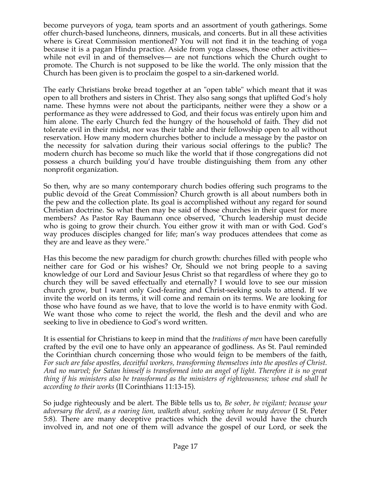become purveyors of yoga, team sports and an assortment of youth gatherings. Some offer church-based luncheons, dinners, musicals, and concerts. But in all these activities where is Great Commission mentioned? You will not find it in the teaching of yoga because it is a pagan Hindu practice. Aside from yoga classes, those other activities while not evil in and of themselves— are not functions which the Church ought to promote. The Church is not supposed to be like the world. The only mission that the Church has been given is to proclaim the gospel to a sin-darkened world.

The early Christians broke bread together at an "open table" which meant that it was open to all brothers and sisters in Christ. They also sang songs that uplifted God's holy name. These hymns were not about the participants, neither were they a show or a performance as they were addressed to God, and their focus was entirely upon him and him alone. The early Church fed the hungry of the household of faith. They did not tolerate evil in their midst, nor was their table and their fellowship open to all without reservation. How many modern churches bother to include a message by the pastor on the necessity for salvation during their various social offerings to the public? The modern church has become so much like the world that if those congregations did not possess a church building you'd have trouble distinguishing them from any other nonprofit organization.

So then, why are so many contemporary church bodies offering such programs to the public devoid of the Great Commission? Church growth is all about numbers both in the pew and the collection plate. Its goal is accomplished without any regard for sound Christian doctrine. So what then may be said of those churches in their quest for more members? As Pastor Ray Baumann once observed, "Church leadership must decide who is going to grow their church. You either grow it with man or with God. God's way produces disciples changed for life; man's way produces attendees that come as they are and leave as they were."

Has this become the new paradigm for church growth: churches filled with people who neither care for God or his wishes? Or, Should we not bring people to a saving knowledge of our Lord and Saviour Jesus Christ so that regardless of where they go to church they will be saved effectually and eternally? I would love to see our mission church grow, but I want only God-fearing and Christ-seeking souls to attend. If we invite the world on its terms, it will come and remain on its terms. We are looking for those who have found as we have, that to love the world is to have enmity with God. We want those who come to reject the world, the flesh and the devil and who are seeking to live in obedience to God's word written.

It is essential for Christians to keep in mind that the *traditions of men* have been carefully crafted by the evil one to have only an appearance of godliness. As St. Paul reminded the Corinthian church concerning those who would feign to be members of the faith, *For such are false apostles, deceitful workers, transforming themselves into the apostles of Christ. And no marvel; for Satan himself is transformed into an angel of light. Therefore it is no great thing if his ministers also be transformed as the ministers of righteousness; whose end shall be according to their works* (II Corinthians 11:13-15).

So judge righteously and be alert. The Bible tells us to, *Be sober, be vigilant; because your adversary the devil, as a roaring lion, walketh about, seeking whom he may devour* (I St. Peter 5:8). There are many deceptive practices which the devil would have the church involved in, and not one of them will advance the gospel of our Lord, or seek the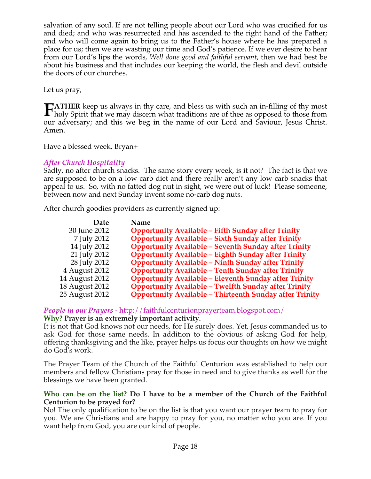salvation of any soul. If are not telling people about our Lord who was crucified for us and died; and who was resurrected and has ascended to the right hand of the Father; and who will come again to bring us to the Father's house where he has prepared a place for us; then we are wasting our time and God's patience. If we ever desire to hear from our Lord's lips the words, *Well done good and faithful servant*, then we had best be about his business and that includes our keeping the world, the flesh and devil outside the doors of our churches.

Let us pray,

**ATHER** keep us always in thy care, and bless us with such an in-filling of thy most **FATHER** keep us always in thy care, and bless us with such an in-filling of thy most holy Spirit that we may discern what traditions are of thee as opposed to those from our adversary; and this we beg in the name of our Lord and Saviour, Jesus Christ. Amen.

Have a blessed week, Bryan+

# *After Church Hospitality*

Sadly, no after church snacks. The same story every week, is it not? The fact is that we are supposed to be on a low carb diet and there really aren't any low carb snacks that appeal to us. So, with no fatted dog nut in sight, we were out of luck! Please someone, between now and next Sunday invent some no-carb dog nuts.

After church goodies providers as currently signed up:

| Date           | Name                                                           |
|----------------|----------------------------------------------------------------|
| 30 June 2012   | <b>Opportunity Available - Fifth Sunday after Trinity</b>      |
| 7 July 2012    | <b>Opportunity Available - Sixth Sunday after Trinity</b>      |
| 14 July 2012   | <b>Opportunity Available - Seventh Sunday after Trinity</b>    |
| 21 July 2012   | <b>Opportunity Available - Eighth Sunday after Trinity</b>     |
| 28 July 2012   | <b>Opportunity Available - Ninth Sunday after Trinity</b>      |
| 4 August 2012  | <b>Opportunity Available - Tenth Sunday after Trinity</b>      |
| 14 August 2012 | <b>Opportunity Available - Eleventh Sunday after Trinity</b>   |
| 18 August 2012 | <b>Opportunity Available - Twelfth Sunday after Trinity</b>    |
| 25 August 2012 | <b>Opportunity Available - Thirteenth Sunday after Trinity</b> |

*People in our Prayers* - http://faithfulcenturionprayerteam.blogspot.com/ **Why? Prayer is an extremely important activity.**

It is not that God knows not our needs, for He surely does. Yet, Jesus commanded us to ask God for those same needs. In addition to the obvious of asking God for help, offering thanksgiving and the like, prayer helps us focus our thoughts on how we might do God's work.

The Prayer Team of the Church of the Faithful Centurion was established to help our members and fellow Christians pray for those in need and to give thanks as well for the blessings we have been granted.

# **Who can be on the list? Do I have to be a member of the Church of the Faithful Centurion to be prayed for?**

No! The only qualification to be on the list is that you want our prayer team to pray for you. We are Christians and are happy to pray for you, no matter who you are. If you want help from God, you are our kind of people.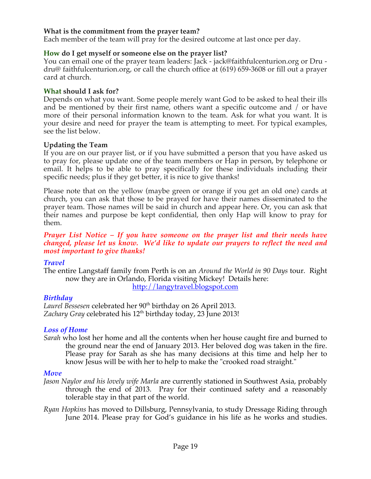# **What is the commitment from the prayer team?**

Each member of the team will pray for the desired outcome at last once per day.

#### **How do I get myself or someone else on the prayer list?**

You can email one of the prayer team leaders: Jack - jack@faithfulcenturion.org or Dru dru@ faithfulcenturion.org, or call the church office at (619) 659-3608 or fill out a prayer card at church.

#### **What should I ask for?**

Depends on what you want. Some people merely want God to be asked to heal their ills and be mentioned by their first name, others want a specific outcome and / or have more of their personal information known to the team. Ask for what you want. It is your desire and need for prayer the team is attempting to meet. For typical examples, see the list below.

#### **Updating the Team**

If you are on our prayer list, or if you have submitted a person that you have asked us to pray for, please update one of the team members or Hap in person, by telephone or email. It helps to be able to pray specifically for these individuals including their specific needs; plus if they get better, it is nice to give thanks!

Please note that on the yellow (maybe green or orange if you get an old one) cards at church, you can ask that those to be prayed for have their names disseminated to the prayer team. Those names will be said in church and appear here. Or, you can ask that their names and purpose be kept confidential, then only Hap will know to pray for them.

*Prayer List Notice – If you have someone on the prayer list and their needs have changed, please let us know. We'd like to update our prayers to reflect the need and most important to give thanks!*

## *Travel*

The entire Langstaff family from Perth is on an *Around the World in 90 Days* tour. Right now they are in Orlando, Florida visiting Mickey! Details here: http://langytravel.blogspot.com

## *Birthday*

Laurel Bessesen celebrated her 90<sup>th</sup> birthday on 26 April 2013. Zachary Gray celebrated his 12<sup>th</sup> birthday today, 23 June 2013!

#### *Loss of Home*

*Sarah* who lost her home and all the contents when her house caught fire and burned to the ground near the end of January 2013. Her beloved dog was taken in the fire. Please pray for Sarah as she has many decisions at this time and help her to know Jesus will be with her to help to make the "crooked road straight."

#### *Move*

- *Jason Naylor and his lovely wife Marla* are currently stationed in Southwest Asia, probably through the end of 2013. Pray for their continued safety and a reasonably tolerable stay in that part of the world.
- *Ryan Hopkins* has moved to Dillsburg, Pennsylvania, to study Dressage Riding through June 2014. Please pray for God's guidance in his life as he works and studies.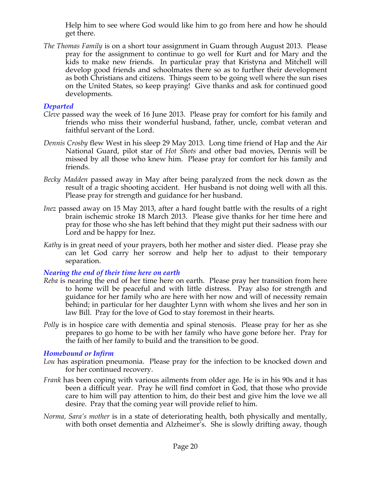Help him to see where God would like him to go from here and how he should get there.

*The Thomas Family* is on a short tour assignment in Guam through August 2013. Please pray for the assignment to continue to go well for Kurt and for Mary and the kids to make new friends. In particular pray that Kristyna and Mitchell will develop good friends and schoolmates there so as to further their development as both Christians and citizens. Things seem to be going well where the sun rises on the United States, so keep praying! Give thanks and ask for continued good developments.

# *Departed*

- *Cleve* passed way the week of 16 June 2013. Please pray for comfort for his family and friends who miss their wonderful husband, father, uncle, combat veteran and faithful servant of the Lord.
- *Dennis Crosby* flew West in his sleep 29 May 2013. Long time friend of Hap and the Air National Guard, pilot star of *Hot Shots* and other bad movies, Dennis will be missed by all those who knew him. Please pray for comfort for his family and friends.
- *Becky Madden* passed away in May after being paralyzed from the neck down as the result of a tragic shooting accident. Her husband is not doing well with all this. Please pray for strength and guidance for her husband.
- *Inez* passed away on 15 May 2013, after a hard fought battle with the results of a right brain ischemic stroke 18 March 2013. Please give thanks for her time here and pray for those who she has left behind that they might put their sadness with our Lord and be happy for Inez.
- *Kathy* is in great need of your prayers, both her mother and sister died. Please pray she can let God carry her sorrow and help her to adjust to their temporary separation.

## *Nearing the end of their time here on earth*

- *Reba* is nearing the end of her time here on earth. Please pray her transition from here to home will be peaceful and with little distress. Pray also for strength and guidance for her family who are here with her now and will of necessity remain behind; in particular for her daughter Lynn with whom she lives and her son in law Bill. Pray for the love of God to stay foremost in their hearts.
- *Polly* is in hospice care with dementia and spinal stenosis. Please pray for her as she prepares to go home to be with her family who have gone before her. Pray for the faith of her family to build and the transition to be good.

## *Homebound or Infirm*

- *Lou* has aspiration pneumonia. Please pray for the infection to be knocked down and for her continued recovery.
- *Frank* has been coping with various ailments from older age. He is in his 90s and it has been a difficult year. Pray he will find comfort in God, that those who provide care to him will pay attention to him, do their best and give him the love we all desire. Pray that the coming year will provide relief to him.
- *Norma, Sara's mother* is in a state of deteriorating health, both physically and mentally, with both onset dementia and Alzheimer's. She is slowly drifting away, though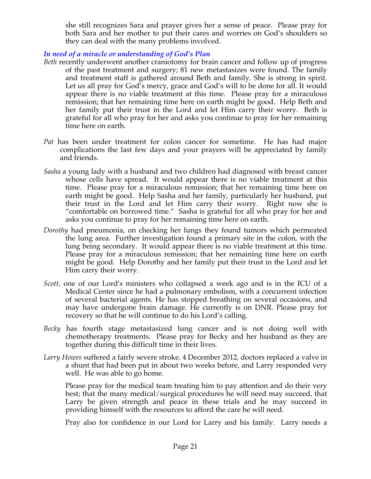she still recognizes Sara and prayer gives her a sense of peace. Please pray for both Sara and her mother to put their cares and worries on God's shoulders so they can deal with the many problems involved.

# *In need of a miracle or understanding of God's Plan*

- *Beth* recently underwent another craniotomy for brain cancer and follow up of progress of the past treatment and surgery; 81 new metastasizes were found. The family and treatment staff is gathered around Beth and family. She is strong in spirit. Let us all pray for God's mercy, grace and God's will to be done for all. It would appear there is no viable treatment at this time. Please pray for a miraculous remission; that her remaining time here on earth might be good. Help Beth and her family put their trust in the Lord and let Him carry their worry. Beth is grateful for all who pray for her and asks you continue to pray for her remaining time here on earth.
- *Pat* has been under treatment for colon cancer for sometime. He has had major complications the last few days and your prayers will be appreciated by family and friends.
- *Sasha* a young lady with a husband and two children had diagnosed with breast cancer whose cells have spread. It would appear there is no viable treatment at this time. Please pray for a miraculous remission; that her remaining time here on earth might be good. Help Sasha and her family, particularly her husband, put their trust in the Lord and let Him carry their worry. Right now she is "comfortable on borrowed time." Sasha is grateful for all who pray for her and asks you continue to pray for her remaining time here on earth.
- *Dorothy* had pneumonia, on checking her lungs they found tumors which permeated the lung area. Further investigation found a primary site in the colon, with the lung being secondary. It would appear there is no viable treatment at this time. Please pray for a miraculous remission; that her remaining time here on earth might be good. Help Dorothy and her family put their trust in the Lord and let Him carry their worry.
- *Scott,* one of our Lord's ministers who collapsed a week ago and is in the ICU of a Medical Center since he had a pulmonary embolism, with a concurrent infection of several bacterial agents. He has stopped breathing on several occasions, and may have undergone brain damage. He currently is on DNR. Please pray for recovery so that he will continue to do his Lord's calling*.*
- *Becky* has fourth stage metastasized lung cancer and is not doing well with chemotherapy treatments. Please pray for Becky and her husband as they are together during this difficult time in their lives.
- *Larry Howes* suffered a fairly severe stroke. 4 December 2012, doctors replaced a valve in a shunt that had been put in about two weeks before, and Larry responded very well. He was able to go home.

Please pray for the medical team treating him to pay attention and do their very best; that the many medical/surgical procedures he will need may succeed, that Larry be given strength and peace in these trials and he may succeed in providing himself with the resources to afford the care he will need.

Pray also for confidence in our Lord for Larry and his family. Larry needs a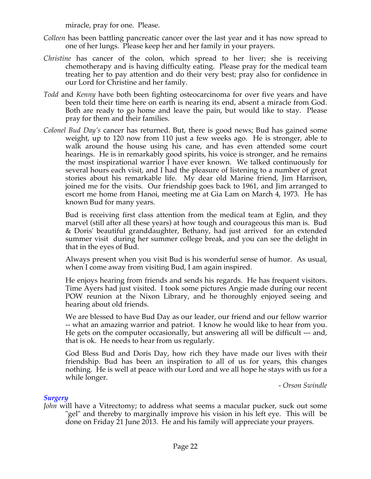miracle, pray for one. Please.

- *Colleen* has been battling pancreatic cancer over the last year and it has now spread to one of her lungs. Please keep her and her family in your prayers.
- *Christine* has cancer of the colon, which spread to her liver; she is receiving chemotherapy and is having difficulty eating. Please pray for the medical team treating her to pay attention and do their very best; pray also for confidence in our Lord for Christine and her family.
- *Todd* and *Kenny* have both been fighting osteocarcinoma for over five years and have been told their time here on earth is nearing its end, absent a miracle from God. Both are ready to go home and leave the pain, but would like to stay. Please pray for them and their families.
- *Colonel Bud Day's* cancer has returned. But, there is good news; Bud has gained some weight, up to 120 now from 110 just a few weeks ago. He is stronger, able to walk around the house using his cane, and has even attended some court hearings. He is in remarkably good spirits, his voice is stronger, and he remains the most inspirational warrior I have ever known. We talked continuously for several hours each visit, and I had the pleasure of listening to a number of great stories about his remarkable life. My dear old Marine friend, Jim Harrison, joined me for the visits. Our friendship goes back to 1961, and Jim arranged to escort me home from Hanoi, meeting me at Gia Lam on March 4, 1973. He has known Bud for many years.

Bud is receiving first class attention from the medical team at Eglin, and they marvel (still after all these years) at how tough and courageous this man is. Bud & Doris' beautiful granddaughter, Bethany, had just arrived for an extended summer visit during her summer college break, and you can see the delight in that in the eyes of Bud.

Always present when you visit Bud is his wonderful sense of humor. As usual, when I come away from visiting Bud, I am again inspired.

He enjoys hearing from friends and sends his regards. He has frequent visitors. Time Ayers had just visited. I took some pictures Angie made during our recent POW reunion at the Nixon Library, and he thoroughly enjoyed seeing and hearing about old friends.

We are blessed to have Bud Day as our leader, our friend and our fellow warrior -- what an amazing warrior and patriot. I know he would like to hear from you. He gets on the computer occasionally, but answering all will be difficult --- and, that is ok. He needs to hear from us regularly.

God Bless Bud and Doris Day, how rich they have made our lives with their friendship. Bud has been an inspiration to all of us for years, this changes nothing. He is well at peace with our Lord and we all hope he stays with us for a while longer.

*- Orson Swindle*

## *Surgery*

*John* will have a Vitrectomy; to address what seems a macular pucker, suck out some "gel" and thereby to marginally improve his vision in his left eye. This will be done on Friday 21 June 2013. He and his family will appreciate your prayers.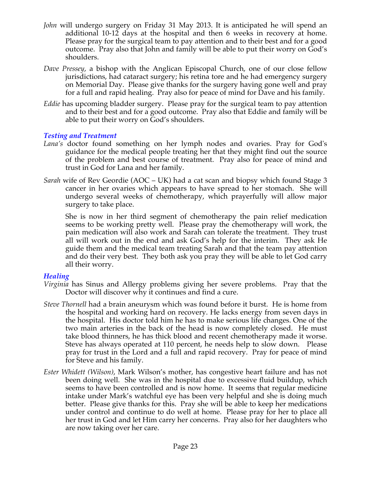- *John* will undergo surgery on Friday 31 May 2013. It is anticipated he will spend an additional 10-12 days at the hospital and then 6 weeks in recovery at home. Please pray for the surgical team to pay attention and to their best and for a good outcome. Pray also that John and family will be able to put their worry on God's shoulders.
- *Dave Pressey*, a bishop with the Anglican Episcopal Church, one of our close fellow jurisdictions, had cataract surgery; his retina tore and he had emergency surgery on Memorial Day. Please give thanks for the surgery having gone well and pray for a full and rapid healing. Pray also for peace of mind for Dave and his family.
- *Eddie* has upcoming bladder surgery. Please pray for the surgical team to pay attention and to their best and for a good outcome. Pray also that Eddie and family will be able to put their worry on God's shoulders.

## *Testing and Treatment*

- *Lana's* doctor found something on her lymph nodes and ovaries. Pray for God's guidance for the medical people treating her that they might find out the source of the problem and best course of treatment. Pray also for peace of mind and trust in God for Lana and her family.
- *Sarah* wife of Rev Geordie (AOC UK) had a cat scan and biopsy which found Stage 3 cancer in her ovaries which appears to have spread to her stomach. She will undergo several weeks of chemotherapy, which prayerfully will allow major surgery to take place.

She is now in her third segment of chemotherapy the pain relief medication seems to be working pretty well. Please pray the chemotherapy will work, the pain medication will also work and Sarah can tolerate the treatment. They trust all will work out in the end and ask God's help for the interim. They ask He guide them and the medical team treating Sarah and that the team pay attention and do their very best. They both ask you pray they will be able to let God carry all their worry.

## *Healing*

- *Virginia* has Sinus and Allergy problems giving her severe problems. Pray that the Doctor will discover why it continues and find a cure.
- *Steve Thornell* had a brain aneurysm which was found before it burst. He is home from the hospital and working hard on recovery. He lacks energy from seven days in the hospital. His doctor told him he has to make serious life changes. One of the two main arteries in the back of the head is now completely closed. He must take blood thinners, he has thick blood and recent chemotherapy made it worse. Steve has always operated at 110 percent, he needs help to slow down. Please pray for trust in the Lord and a full and rapid recovery. Pray for peace of mind for Steve and his family.
- *Ester Whidett (Wilson)*, Mark Wilson's mother, has congestive heart failure and has not been doing well. She was in the hospital due to excessive fluid buildup, which seems to have been controlled and is now home. It seems that regular medicine intake under Mark's watchful eye has been very helpful and she is doing much better. Please give thanks for this. Pray she will be able to keep her medications under control and continue to do well at home. Please pray for her to place all her trust in God and let Him carry her concerns. Pray also for her daughters who are now taking over her care.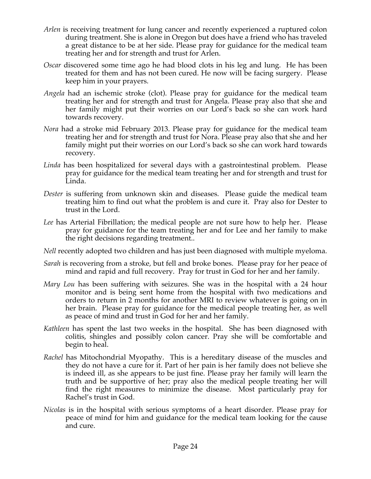- *Arlen* is receiving treatment for lung cancer and recently experienced a ruptured colon during treatment. She is alone in Oregon but does have a friend who has traveled a great distance to be at her side. Please pray for guidance for the medical team treating her and for strength and trust for Arlen.
- *Oscar* discovered some time ago he had blood clots in his leg and lung. He has been treated for them and has not been cured. He now will be facing surgery. Please keep him in your prayers.
- *Angela* had an ischemic stroke (clot). Please pray for guidance for the medical team treating her and for strength and trust for Angela. Please pray also that she and her family might put their worries on our Lord's back so she can work hard towards recovery.
- *Nora* had a stroke mid February 2013. Please pray for guidance for the medical team treating her and for strength and trust for Nora. Please pray also that she and her family might put their worries on our Lord's back so she can work hard towards recovery.
- *Linda* has been hospitalized for several days with a gastrointestinal problem. Please pray for guidance for the medical team treating her and for strength and trust for Linda.
- *Dester* is suffering from unknown skin and diseases. Please guide the medical team treating him to find out what the problem is and cure it. Pray also for Dester to trust in the Lord.
- *Lee* has Arterial Fibrillation; the medical people are not sure how to help her. Please pray for guidance for the team treating her and for Lee and her family to make the right decisions regarding treatment..
- *Nell* recently adopted two children and has just been diagnosed with multiple myeloma.
- *Sarah* is recovering from a stroke, but fell and broke bones. Please pray for her peace of mind and rapid and full recovery. Pray for trust in God for her and her family.
- *Mary Lou* has been suffering with seizures. She was in the hospital with a 24 hour monitor and is being sent home from the hospital with two medications and orders to return in 2 months for another MRI to review whatever is going on in her brain. Please pray for guidance for the medical people treating her, as well as peace of mind and trust in God for her and her family.
- *Kathleen* has spent the last two weeks in the hospital. She has been diagnosed with colitis, shingles and possibly colon cancer. Pray she will be comfortable and begin to heal.
- *Rachel* has Mitochondrial Myopathy. This is a hereditary disease of the muscles and they do not have a cure for it. Part of her pain is her family does not believe she is indeed ill, as she appears to be just fine. Please pray her family will learn the truth and be supportive of her; pray also the medical people treating her will find the right measures to minimize the disease. Most particularly pray for Rachel's trust in God.
- *Nicolas* is in the hospital with serious symptoms of a heart disorder. Please pray for peace of mind for him and guidance for the medical team looking for the cause and cure.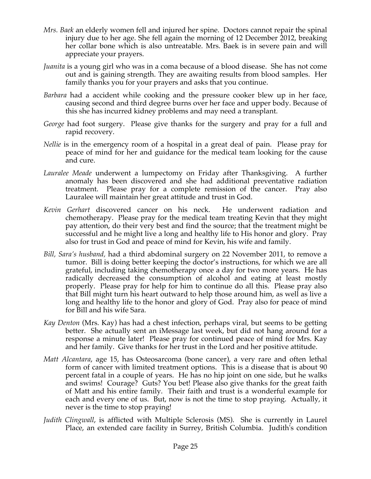- *Mrs. Baek* an elderly women fell and injured her spine. Doctors cannot repair the spinal injury due to her age. She fell again the morning of 12 December 2012, breaking her collar bone which is also untreatable. Mrs. Baek is in severe pain and will appreciate your prayers.
- *Juanita* is a young girl who was in a coma because of a blood disease. She has not come out and is gaining strength. They are awaiting results from blood samples. Her family thanks you for your prayers and asks that you continue.
- *Barbara* had a accident while cooking and the pressure cooker blew up in her face, causing second and third degree burns over her face and upper body. Because of this she has incurred kidney problems and may need a transplant.
- *George* had foot surgery. Please give thanks for the surgery and pray for a full and rapid recovery.
- *Nellie* is in the emergency room of a hospital in a great deal of pain. Please pray for peace of mind for her and guidance for the medical team looking for the cause and cure.
- *Lauralee Meade* underwent a lumpectomy on Friday after Thanksgiving. A further anomaly has been discovered and she had additional preventative radiation treatment. Please pray for a complete remission of the cancer. Pray also Lauralee will maintain her great attitude and trust in God.
- *Kevin Gerhart* discovered cancer on his neck. He underwent radiation and chemotherapy. Please pray for the medical team treating Kevin that they might pay attention, do their very best and find the source; that the treatment might be successful and he might live a long and healthy life to His honor and glory. Pray also for trust in God and peace of mind for Kevin, his wife and family.
- *Bill, Sara's husband,* had a third abdominal surgery on 22 November 2011, to remove a tumor. Bill is doing better keeping the doctor's instructions, for which we are all grateful, including taking chemotherapy once a day for two more years. He has radically decreased the consumption of alcohol and eating at least mostly properly. Please pray for help for him to continue do all this. Please pray also that Bill might turn his heart outward to help those around him, as well as live a long and healthy life to the honor and glory of God. Pray also for peace of mind for Bill and his wife Sara.
- *Kay Denton* (Mrs. Kay) has had a chest infection, perhaps viral, but seems to be getting better. She actually sent an iMessage last week, but did not hang around for a response a minute later! Please pray for continued peace of mind for Mrs. Kay and her family. Give thanks for her trust in the Lord and her positive attitude.
- *Matt Alcantara*, age 15, has Osteosarcoma (bone cancer), a very rare and often lethal form of cancer with limited treatment options. This is a disease that is about 90 percent fatal in a couple of years. He has no hip joint on one side, but he walks and swims! Courage? Guts? You bet! Please also give thanks for the great faith of Matt and his entire family. Their faith and trust is a wonderful example for each and every one of us. But, now is not the time to stop praying. Actually, it never is the time to stop praying!
- *Judith Clingwall*, is afflicted with Multiple Sclerosis (MS). She is currently in Laurel Place, an extended care facility in Surrey, British Columbia. Judith's condition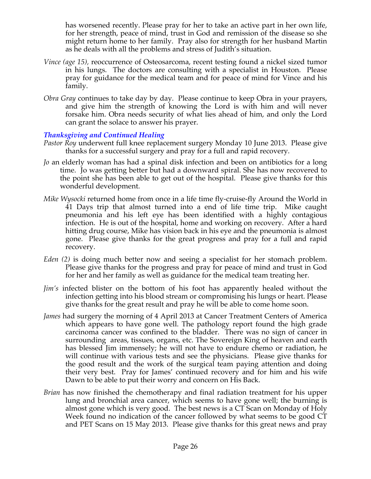has worsened recently. Please pray for her to take an active part in her own life, for her strength, peace of mind, trust in God and remission of the disease so she might return home to her family. Pray also for strength for her husband Martin as he deals with all the problems and stress of Judith's situation.

- *Vince (age 15),* reoccurrence of Osteosarcoma, recent testing found a nickel sized tumor in his lungs. The doctors are consulting with a specialist in Houston. Please pray for guidance for the medical team and for peace of mind for Vince and his family.
- *Obra Gray* continues to take day by day. Please continue to keep Obra in your prayers, and give him the strength of knowing the Lord is with him and will never forsake him. Obra needs security of what lies ahead of him, and only the Lord can grant the solace to answer his prayer.

# *Thanksgiving and Continued Healing*

- *Pastor Roy* underwent full knee replacement surgery Monday 10 June 2013. Please give thanks for a successful surgery and pray for a full and rapid recovery.
- *Jo* an elderly woman has had a spinal disk infection and been on antibiotics for a long time. Jo was getting better but had a downward spiral. She has now recovered to the point she has been able to get out of the hospital. Please give thanks for this wonderful development.
- *Mike Wysocki* returned home from once in a life time fly-cruise-fly Around the World in 41 Days trip that almost turned into a end of life time trip. Mike caught pneumonia and his left eye has been identified with a highly contagious infection. He is out of the hospital, home and working on recovery. After a hard hitting drug course, Mike has vision back in his eye and the pneumonia is almost gone. Please give thanks for the great progress and pray for a full and rapid recovery.
- *Eden (2)* is doing much better now and seeing a specialist for her stomach problem. Please give thanks for the progress and pray for peace of mind and trust in God for her and her family as well as guidance for the medical team treating her.
- *Jim's* infected blister on the bottom of his foot has apparently healed without the infection getting into his blood stream or compromising his lungs or heart. Please give thanks for the great result and pray he will be able to come home soon.
- *James* had surgery the morning of 4 April 2013 at Cancer Treatment Centers of America which appears to have gone well. The pathology report found the high grade carcinoma cancer was confined to the bladder. There was no sign of cancer in surrounding areas, tissues, organs, etc. The Sovereign King of heaven and earth has blessed Jim immensely; he will not have to endure chemo or radiation, he will continue with various tests and see the physicians. Please give thanks for the good result and the work of the surgical team paying attention and doing their very best. Pray for James' continued recovery and for him and his wife Dawn to be able to put their worry and concern on His Back.
- *Brian* has now finished the chemotherapy and final radiation treatment for his upper lung and bronchial area cancer, which seems to have gone well; the burning is almost gone which is very good. The best news is a CT Scan on Monday of Holy Week found no indication of the cancer followed by what seems to be good CT and PET Scans on 15 May 2013. Please give thanks for this great news and pray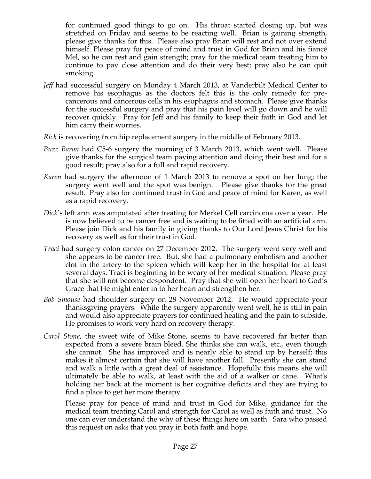for continued good things to go on. His throat started closing up, but was stretched on Friday and seems to be reacting well. Brian is gaining strength, please give thanks for this. Please also pray Brian will rest and not over extend himself. Please pray for peace of mind and trust in God for Brian and his fiancé Mel, so he can rest and gain strength; pray for the medical team treating him to continue to pay close attention and do their very best; pray also he can quit smoking.

- *Jeff* had successful surgery on Monday 4 March 2013, at Vanderbilt Medical Center to remove his esophagus as the doctors felt this is the only remedy for precancerous and cancerous cells in his esophagus and stomach. Please give thanks for the successful surgery and pray that his pain level will go down and he will recover quickly. Pray for Jeff and his family to keep their faith in God and let him carry their worries.
- *Rick* is recovering from hip replacement surgery in the middle of February 2013.
- *Buzz Baron* had C5-6 surgery the morning of 3 March 2013, which went well. Please give thanks for the surgical team paying attention and doing their best and for a good result; pray also for a full and rapid recovery.
- *Karen* had surgery the afternoon of 1 March 2013 to remove a spot on her lung; the surgery went well and the spot was benign. Please give thanks for the great result. Pray also for continued trust in God and peace of mind for Karen, as well as a rapid recovery.
- *Dick*'s left arm was amputated after treating for Merkel Cell carcinoma over a year. He is now believed to be cancer free and is waiting to be fitted with an artificial arm. Please join Dick and his family in giving thanks to Our Lord Jesus Christ for his recovery as well as for their trust in God.
- *Traci* had surgery colon cancer on 27 December 2012. The surgery went very well and she appears to be cancer free. But, she had a pulmonary embolism and another clot in the artery to the spleen which will keep her in the hospital for at least several days. Traci is beginning to be weary of her medical situation. Please pray that she will not become despondent. Pray that she will open her heart to God's Grace that He might enter in to her heart and strengthen her.
- *Bob Smouse* had shoulder surgery on 28 November 2012. He would appreciate your thanksgiving prayers. While the surgery apparently went well, he is still in pain and would also appreciate prayers for continued healing and the pain to subside. He promises to work very hard on recovery therapy.
- *Carol Stone*, the sweet wife of Mike Stone, seems to have recovered far better than expected from a severe brain bleed. She thinks she can walk, etc., even though she cannot. She has improved and is nearly able to stand up by herself; this makes it almost certain that she will have another fall. Presently she can stand and walk a little with a great deal of assistance. Hopefully this means she will ultimately be able to walk, at least with the aid of a walker or cane. What's holding her back at the moment is her cognitive deficits and they are trying to find a place to get her more therapy

Please pray for peace of mind and trust in God for Mike, guidance for the medical team treating Carol and strength for Carol as well as faith and trust. No one can ever understand the why of these things here on earth. Sara who passed this request on asks that you pray in both faith and hope.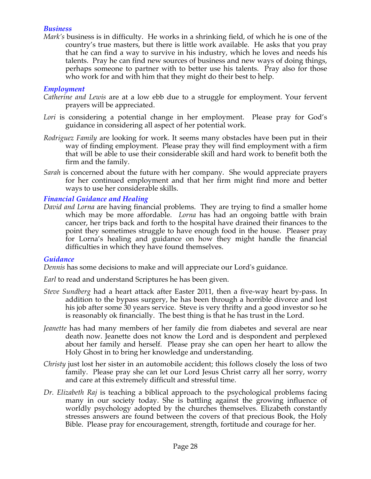## *Business*

*Mark's* business is in difficulty. He works in a shrinking field, of which he is one of the country's true masters, but there is little work available. He asks that you pray that he can find a way to survive in his industry, which he loves and needs his talents. Pray he can find new sources of business and new ways of doing things, perhaps someone to partner with to better use his talents. Pray also for those who work for and with him that they might do their best to help.

# *Employment*

- *Catherine and Lewis* are at a low ebb due to a struggle for employment. Your fervent prayers will be appreciated.
- *Lori* is considering a potential change in her employment. Please pray for God's guidance in considering all aspect of her potential work.
- *Rodriguez Family* are looking for work. It seems many obstacles have been put in their way of finding employment. Please pray they will find employment with a firm that will be able to use their considerable skill and hard work to benefit both the firm and the family.
- *Sarah* is concerned about the future with her company. She would appreciate prayers for her continued employment and that her firm might find more and better ways to use her considerable skills.

## *Financial Guidance and Healing*

*David and Lorna* are having financial problems. They are trying to find a smaller home which may be more affordable. *Lorna* has had an ongoing battle with brain cancer, her trips back and forth to the hospital have drained their finances to the point they sometimes struggle to have enough food in the house. Pleaser pray for Lorna's healing and guidance on how they might handle the financial difficulties in which they have found themselves.

## *Guidance*

*Dennis* has some decisions to make and will appreciate our Lord's guidance.

*Earl* to read and understand Scriptures he has been given.

- *Steve Sundberg* had a heart attack after Easter 2011, then a five-way heart by-pass. In addition to the bypass surgery, he has been through a horrible divorce and lost his job after some 30 years service. Steve is very thrifty and a good investor so he is reasonably ok financially. The best thing is that he has trust in the Lord.
- *Jeanette* has had many members of her family die from diabetes and several are near death now. Jeanette does not know the Lord and is despondent and perplexed about her family and herself. Please pray she can open her heart to allow the Holy Ghost in to bring her knowledge and understanding.
- *Christy* just lost her sister in an automobile accident; this follows closely the loss of two family. Please pray she can let our Lord Jesus Christ carry all her sorry, worry and care at this extremely difficult and stressful time.
- *Dr. Elizabeth Raj* is teaching a biblical approach to the psychological problems facing many in our society today. She is battling against the growing influence of worldly psychology adopted by the churches themselves. Elizabeth constantly stresses answers are found between the covers of that precious Book, the Holy Bible. Please pray for encouragement, strength, fortitude and courage for her.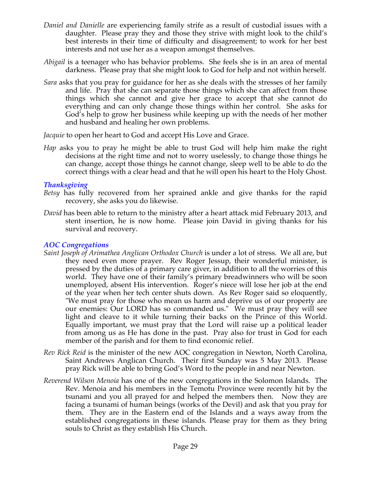- *Daniel and Danielle* are experiencing family strife as a result of custodial issues with a daughter. Please pray they and those they strive with might look to the child's best interests in their time of difficulty and disagreement; to work for her best interests and not use her as a weapon amongst themselves.
- *Abigail* is a teenager who has behavior problems. She feels she is in an area of mental darkness. Please pray that she might look to God for help and not within herself.
- *Sara* asks that you pray for guidance for her as she deals with the stresses of her family and life. Pray that she can separate those things which she can affect from those things which she cannot and give her grace to accept that she cannot do everything and can only change those things within her control. She asks for God's help to grow her business while keeping up with the needs of her mother and husband and healing her own problems.

*Jacquie* to open her heart to God and accept His Love and Grace.

*Hap* asks you to pray he might be able to trust God will help him make the right decisions at the right time and not to worry uselessly, to change those things he can change, accept those things he cannot change, sleep well to be able to do the correct things with a clear head and that he will open his heart to the Holy Ghost.

# *Thanksgiving*

- *Betsy* has fully recovered from her sprained ankle and give thanks for the rapid recovery, she asks you do likewise.
- *David* has been able to return to the ministry after a heart attack mid February 2013, and stent insertion, he is now home. Please join David in giving thanks for his survival and recovery.

# *AOC Congregations*

- *Saint Joseph of Arimathea Anglican Orthodox Church* is under a lot of stress. We all are, but they need even more prayer. Rev Roger Jessup, their wonderful minister, is pressed by the duties of a primary care giver, in addition to all the worries of this world. They have one of their family's primary breadwinners who will be soon unemployed, absent His intervention. Roger's niece will lose her job at the end of the year when her tech center shuts down. As Rev Roger said so eloquently, "We must pray for those who mean us harm and deprive us of our property are our enemies: Our LORD has so commanded us." We must pray they will see light and cleave to it while turning their backs on the Prince of this World. Equally important, we must pray that the Lord will raise up a political leader from among us as He has done in the past. Pray also for trust in God for each member of the parish and for them to find economic relief.
- *Rev Rick Reid* is the minister of the new AOC congregation in Newton, North Carolina, Saint Andrews Anglican Church. Their first Sunday was 5 May 2013. Please pray Rick will be able to bring God's Word to the people in and near Newton.
- *Reverend Wilson Menoia* has one of the new congregations in the Solomon Islands. The Rev. Menoia and his members in the Temotu Province were recently hit by the tsunami and you all prayed for and helped the members then. Now they are facing a tsunami of human beings (works of the Devil) and ask that you pray for them. They are in the Eastern end of the Islands and a ways away from the established congregations in these islands. Please pray for them as they bring souls to Christ as they establish His Church.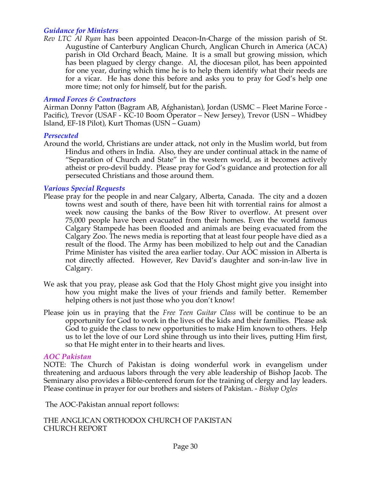## *Guidance for Ministers*

*Rev LTC Al Ryan* has been appointed Deacon-In-Charge of the mission parish of St. Augustine of Canterbury Anglican Church, Anglican Church in America (ACA) parish in Old Orchard Beach, Maine. It is a small but growing mission, which has been plagued by clergy change. Al, the diocesan pilot, has been appointed for one year, during which time he is to help them identify what their needs are for a vicar. He has done this before and asks you to pray for God's help one more time; not only for himself, but for the parish.

#### *Armed Forces & Contractors*

Airman Donny Patton (Bagram AB, Afghanistan), Jordan (USMC – Fleet Marine Force - Pacific), Trevor (USAF - KC-10 Boom Operator – New Jersey), Trevor (USN – Whidbey Island, EF-18 Pilot), Kurt Thomas (USN – Guam)

#### *Persecuted*

Around the world, Christians are under attack, not only in the Muslim world, but from Hindus and others in India. Also, they are under continual attack in the name of "Separation of Church and State" in the western world, as it becomes actively atheist or pro-devil buddy. Please pray for God's guidance and protection for all persecuted Christians and those around them.

#### *Various Special Requests*

- Please pray for the people in and near Calgary, Alberta, Canada. The city and a dozen towns west and south of there, have been hit with torrential rains for almost a week now causing the banks of the Bow River to overflow. At present over 75,000 people have been evacuated from their homes. Even the world famous Calgary Stampede has been flooded and animals are being evacuated from the Calgary Zoo. The news media is reporting that at least four people have died as a result of the flood. The Army has been mobilized to help out and the Canadian Prime Minister has visited the area earlier today. Our AOC mission in Alberta is not directly affected. However, Rev David's daughter and son-in-law live in Calgary.
- We ask that you pray, please ask God that the Holy Ghost might give you insight into how you might make the lives of your friends and family better. Remember helping others is not just those who you don't know!
- Please join us in praying that the *Free Teen Guitar Class* will be continue to be an opportunity for God to work in the lives of the kids and their families. Please ask God to guide the class to new opportunities to make Him known to others. Help us to let the love of our Lord shine through us into their lives, putting Him first, so that He might enter in to their hearts and lives.

#### *AOC Pakistan*

NOTE: The Church of Pakistan is doing wonderful work in evangelism under threatening and arduous labors through the very able leadership of Bishop Jacob. The Seminary also provides a Bible-centered forum for the training of clergy and lay leaders. Please continue in prayer for our brothers and sisters of Pakistan. - *Bishop Ogles*

The AOC-Pakistan annual report follows:

THE ANGLICAN ORTHODOX CHURCH OF PAKISTAN CHURCH REPORT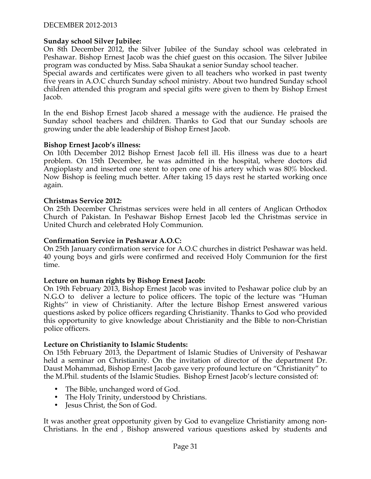# **Sunday school Silver Jubilee:**

On 8th December 2012, the Silver Jubilee of the Sunday school was celebrated in Peshawar. Bishop Ernest Jacob was the chief guest on this occasion. The Silver Jubilee program was conducted by Miss. Saba Shaukat a senior Sunday school teacher.

Special awards and certificates were given to all teachers who worked in past twenty five years in A.O.C church Sunday school ministry. About two hundred Sunday school children attended this program and special gifts were given to them by Bishop Ernest Jacob.

In the end Bishop Ernest Jacob shared a message with the audience. He praised the Sunday school teachers and children. Thanks to God that our Sunday schools are growing under the able leadership of Bishop Ernest Jacob.

## **Bishop Ernest Jacob's illness:**

On 10th December 2012 Bishop Ernest Jacob fell ill. His illness was due to a heart problem. On 15th December, he was admitted in the hospital, where doctors did Angioplasty and inserted one stent to open one of his artery which was 80% blocked. Now Bishop is feeling much better. After taking 15 days rest he started working once again.

#### **Christmas Service 2012:**

On 25th December Christmas services were held in all centers of Anglican Orthodox Church of Pakistan. In Peshawar Bishop Ernest Jacob led the Christmas service in United Church and celebrated Holy Communion.

#### **Confirmation Service in Peshawar A.O.C:**

On 25th January confirmation service for A.O.C churches in district Peshawar was held. 40 young boys and girls were confirmed and received Holy Communion for the first time.

## **Lecture on human rights by Bishop Ernest Jacob:**

On 19th February 2013, Bishop Ernest Jacob was invited to Peshawar police club by an N.G.O to deliver a lecture to police officers. The topic of the lecture was "Human Rights'' in view of Christianity. After the lecture Bishop Ernest answered various questions asked by police officers regarding Christianity. Thanks to God who provided this opportunity to give knowledge about Christianity and the Bible to non-Christian police officers.

#### **Lecture on Christianity to Islamic Students:**

On 15th February 2013, the Department of Islamic Studies of University of Peshawar held a seminar on Christianity. On the invitation of director of the department Dr. Daust Mohammad, Bishop Ernest Jacob gave very profound lecture on "Christianity" to the M.Phil. students of the Islamic Studies. Bishop Ernest Jacob's lecture consisted of:

- The Bible, unchanged word of God.
- The Holy Trinity, understood by Christians.
- Jesus Christ, the Son of God.

It was another great opportunity given by God to evangelize Christianity among non-Christians. In the end , Bishop answered various questions asked by students and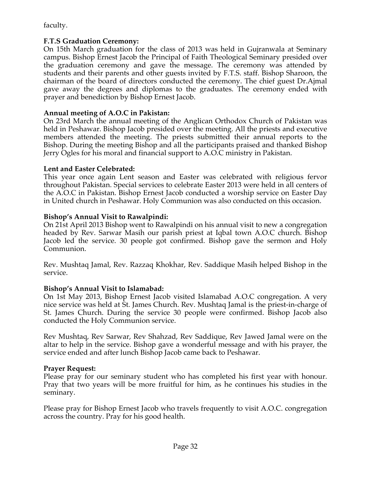faculty.

# **F.T.S Graduation Ceremony:**

On 15th March graduation for the class of 2013 was held in Gujranwala at Seminary campus. Bishop Ernest Jacob the Principal of Faith Theological Seminary presided over the graduation ceremony and gave the message. The ceremony was attended by students and their parents and other guests invited by F.T.S. staff. Bishop Sharoon, the chairman of the board of directors conducted the ceremony. The chief guest Dr.Ajmal gave away the degrees and diplomas to the graduates. The ceremony ended with prayer and benediction by Bishop Ernest Jacob.

# **Annual meeting of A.O.C in Pakistan:**

On 23rd March the annual meeting of the Anglican Orthodox Church of Pakistan was held in Peshawar. Bishop Jacob presided over the meeting. All the priests and executive members attended the meeting. The priests submitted their annual reports to the Bishop. During the meeting Bishop and all the participants praised and thanked Bishop Jerry Ogles for his moral and financial support to A.O.C ministry in Pakistan.

# **Lent and Easter Celebrated:**

This year once again Lent season and Easter was celebrated with religious fervor throughout Pakistan. Special services to celebrate Easter 2013 were held in all centers of the A.O.C in Pakistan. Bishop Ernest Jacob conducted a worship service on Easter Day in United church in Peshawar. Holy Communion was also conducted on this occasion.

# **Bishop's Annual Visit to Rawalpindi:**

On 21st April 2013 Bishop went to Rawalpindi on his annual visit to new a congregation headed by Rev. Sarwar Masih our parish priest at Iqbal town A.O.C church. Bishop Jacob led the service. 30 people got confirmed. Bishop gave the sermon and Holy Communion.

Rev. Mushtaq Jamal, Rev. Razzaq Khokhar, Rev. Saddique Masih helped Bishop in the service.

# **Bishop's Annual Visit to Islamabad:**

On 1st May 2013, Bishop Ernest Jacob visited Islamabad A.O.C congregation. A very nice service was held at St. James Church. Rev. Mushtaq Jamal is the priest-in-charge of St. James Church. During the service 30 people were confirmed. Bishop Jacob also conducted the Holy Communion service.

Rev Mushtaq, Rev Sarwar, Rev Shahzad, Rev Saddique, Rev Jawed Jamal were on the altar to help in the service. Bishop gave a wonderful message and with his prayer, the service ended and after lunch Bishop Jacob came back to Peshawar.

# **Prayer Request:**

Please pray for our seminary student who has completed his first year with honour. Pray that two years will be more fruitful for him, as he continues his studies in the seminary.

Please pray for Bishop Ernest Jacob who travels frequently to visit A.O.C. congregation across the country. Pray for his good health.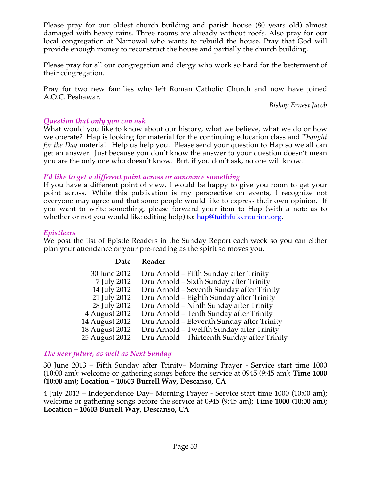Please pray for our oldest church building and parish house (80 years old) almost damaged with heavy rains. Three rooms are already without roofs. Also pray for our local congregation at Narrowal who wants to rebuild the house. Pray that God will provide enough money to reconstruct the house and partially the church building.

Please pray for all our congregation and clergy who work so hard for the betterment of their congregation.

Pray for two new families who left Roman Catholic Church and now have joined A.O.C. Peshawar.

*Bishop Ernest Jacob*

# *Question that only you can ask*

What would you like to know about our history, what we believe, what we do or how we operate? Hap is looking for material for the continuing education class and *Thought for the Day* material. Help us help you. Please send your question to Hap so we all can get an answer. Just because you don't know the answer to your question doesn't mean you are the only one who doesn't know. But, if you don't ask, no one will know.

# *I'd like to get a different point across or announce something*

If you have a different point of view, I would be happy to give you room to get your point across. While this publication is my perspective on events, I recognize not everyone may agree and that some people would like to express their own opinion. If you want to write something, please forward your item to Hap (with a note as to whether or not you would like editing help) to: hap@faithfulcenturion.org.

# *Epistleers*

We post the list of Epistle Readers in the Sunday Report each week so you can either plan your attendance or your pre-reading as the spirit so moves you.

## **Date Reader**

| 30 June 2012   | Dru Arnold - Fifth Sunday after Trinity      |
|----------------|----------------------------------------------|
| 7 July 2012    | Dru Arnold - Sixth Sunday after Trinity      |
| 14 July 2012   | Dru Arnold – Seventh Sunday after Trinity    |
| 21 July 2012   | Dru Arnold – Eighth Sunday after Trinity     |
| 28 July 2012   | Dru Arnold – Ninth Sunday after Trinity      |
| 4 August 2012  | Dru Arnold – Tenth Sunday after Trinity      |
| 14 August 2012 | Dru Arnold – Eleventh Sunday after Trinity   |
| 18 August 2012 | Dru Arnold - Twelfth Sunday after Trinity    |
| 25 August 2012 | Dru Arnold – Thirteenth Sunday after Trinity |
|                |                                              |

## *The near future, as well as Next Sunday*

30 June 2013 – Fifth Sunday after Trinity– Morning Prayer - Service start time 1000 (10:00 am); welcome or gathering songs before the service at 0945 (9:45 am); **Time 1000 (10:00 am); Location – 10603 Burrell Way, Descanso, CA**

4 July 2013 – Independence Day– Morning Prayer - Service start time 1000 (10:00 am); welcome or gathering songs before the service at 0945 (9:45 am); **Time 1000 (10:00 am); Location – 10603 Burrell Way, Descanso, CA**